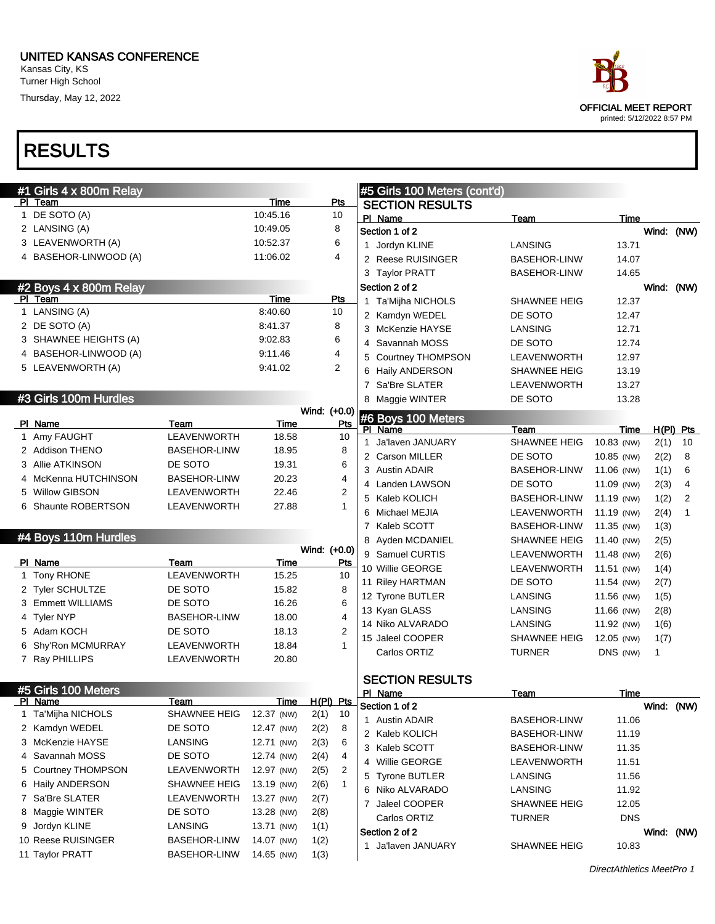| ace                                                       |
|-----------------------------------------------------------|
| <b>OFFICIAL MEET REPORT</b><br>printed: 5/12/2022 8:57 PM |

| #1 Girls 4 x 800m Relay               |                                            |                          |                      | #5 Girls 100 Meters (cont'd) |                     |            |             |                |
|---------------------------------------|--------------------------------------------|--------------------------|----------------------|------------------------------|---------------------|------------|-------------|----------------|
| PI Team                               |                                            | Time                     | <u>Pts</u>           | <b>SECTION RESULTS</b>       |                     |            |             |                |
| 1 DE SOTO (A)                         |                                            | 10:45.16                 | 10                   | PI Name                      | Team                | Time       |             |                |
| 2 LANSING (A)                         |                                            | 10:49.05                 | 8                    | Section 1 of 2               |                     |            | Wind: (NW)  |                |
| 3 LEAVENWORTH (A)                     |                                            | 10:52.37                 | 6                    | 1 Jordyn KLINE               | LANSING             | 13.71      |             |                |
| 4 BASEHOR-LINWOOD (A)                 |                                            | 11:06.02                 | 4                    | 2 Reese RUISINGER            | <b>BASEHOR-LINW</b> | 14.07      |             |                |
|                                       |                                            |                          |                      | 3 Taylor PRATT               | <b>BASEHOR-LINW</b> | 14.65      |             |                |
| #2 Boys 4 x 800m Relay                |                                            |                          |                      | Section 2 of 2               |                     |            | Wind: (NW)  |                |
| PI Team                               |                                            | Time                     | Pts                  | 1 Ta'Mijha NICHOLS           | <b>SHAWNEE HEIG</b> | 12.37      |             |                |
| 1 LANSING (A)                         |                                            | 8:40.60                  | 10                   | 2 Kamdyn WEDEL               | DE SOTO             | 12.47      |             |                |
| 2 DE SOTO (A)                         |                                            | 8:41.37                  | 8                    | 3 McKenzie HAYSE             | LANSING             | 12.71      |             |                |
| 3 SHAWNEE HEIGHTS (A)                 |                                            | 9:02.83                  | 6                    | 4 Savannah MOSS              | DE SOTO             | 12.74      |             |                |
| 4 BASEHOR-LINWOOD (A)                 |                                            | 9:11.46                  | 4                    | 5 Courtney THOMPSON          | LEAVENWORTH         | 12.97      |             |                |
| 5 LEAVENWORTH (A)                     |                                            | 9:41.02                  | $\overline{2}$       | 6 Haily ANDERSON             | <b>SHAWNEE HEIG</b> | 13.19      |             |                |
|                                       |                                            |                          |                      | 7 Sa'Bre SLATER              | LEAVENWORTH         | 13.27      |             |                |
| #3 Girls 100m Hurdles                 |                                            |                          |                      | 8 Maggie WINTER              | DE SOTO             | 13.28      |             |                |
|                                       |                                            |                          | Wind: (+0.0)         | #6 Boys 100 Meters           |                     |            |             |                |
| PI Name                               | Team                                       | Time                     | Pts                  | PI Name                      | Team                | Time       | $H(PI)$ Pts |                |
| 1 Amy FAUGHT                          | LEAVENWORTH                                | 18.58                    | 10                   | 1 Ja'laven JANUARY           | SHAWNEE HEIG        | 10.83 (NW) | 2(1)        | 10             |
| 2 Addison THENO                       | <b>BASEHOR-LINW</b>                        | 18.95                    | 8                    | 2 Carson MILLER              | DE SOTO             | 10.85 (NW) | 2(2)        | 8              |
| 3 Allie ATKINSON                      | DE SOTO                                    | 19.31                    | 6                    | 3 Austin ADAIR               | <b>BASEHOR-LINW</b> | 11.06 (NW) | 1(1)        | 6              |
| 4 McKenna HUTCHINSON                  | <b>BASEHOR-LINW</b>                        | 20.23                    | 4                    | 4 Landen LAWSON              | DE SOTO             | 11.09 (NW) | 2(3)        | $\overline{4}$ |
| 5 Willow GIBSON                       | LEAVENWORTH                                | 22.46                    | $\overline{2}$       | 5 Kaleb KOLICH               | <b>BASEHOR-LINW</b> | 11.19 (NW) | 1(2)        | 2              |
| 6 Shaunte ROBERTSON                   | LEAVENWORTH                                | 27.88                    | $\mathbf{1}$         | 6 Michael MEJIA              | LEAVENWORTH         | 11.19 (NW) | 2(4)        | 1              |
|                                       |                                            |                          |                      | 7 Kaleb SCOTT                | <b>BASEHOR-LINW</b> | 11.35 (NW) | 1(3)        |                |
|                                       |                                            |                          |                      |                              |                     |            |             |                |
| #4 Boys 110m Hurdles                  |                                            |                          |                      | 8 Ayden MCDANIEL             | SHAWNEE HEIG        | 11.40 (NW) |             |                |
|                                       |                                            |                          | Wind: (+0.0)         | 9 Samuel CURTIS              | LEAVENWORTH         | 11.48 (NW) | 2(5)        |                |
| PI Name                               | Team                                       | <u>Time</u>              | <u>Pts</u>           | 10 Willie GEORGE             | LEAVENWORTH         | 11.51 (NW) | 2(6)        |                |
| 1 Tony RHONE                          | LEAVENWORTH                                | 15.25                    | 10                   | 11 Riley HARTMAN             | DE SOTO             | 11.54 (NW) | 1(4)        |                |
| 2 Tyler SCHULTZE                      | DE SOTO                                    | 15.82                    | 8                    | 12 Tyrone BUTLER             | LANSING             | 11.56 (NW) | 2(7)        |                |
| 3 Emmett WILLIAMS                     | DE SOTO                                    | 16.26                    | 6                    | 13 Kyan GLASS                | LANSING             | 11.66 (NW) | 1(5)        |                |
| 4 Tyler NYP                           | <b>BASEHOR-LINW</b>                        | 18.00                    | 4                    | 14 Niko ALVARADO             | LANSING             | 11.92 (NW) | 2(8)        |                |
| 5 Adam KOCH                           | DE SOTO                                    | 18.13                    | $\overline{2}$       |                              | SHAWNEE HEIG        |            | 1(6)        |                |
| 6 Shy'Ron MCMURRAY                    | LEAVENWORTH                                | 18.84                    | 1                    | 15 Jaleel COOPER             |                     | 12.05 (NW) | 1(7)<br>1   |                |
| 7 Ray PHILLIPS                        | LEAVENWORTH                                | 20.80                    |                      | Carlos ORTIZ                 | <b>TURNER</b>       | DNS (NW)   |             |                |
|                                       |                                            |                          |                      | <b>SECTION RESULTS</b>       |                     |            |             |                |
| #5 Girls 100 Meters                   |                                            |                          |                      | PI Name                      | Team                | Time       |             |                |
| <b>PI</b> Name                        | <b>Team</b>                                | <u>Time</u>              | $H(PI)$ Pts          | Section 1 of 2               |                     |            | Wind: (NW)  |                |
| 1 Ta'Mijha NICHOLS                    | <b>SHAWNEE HEIG</b>                        | 12.37 (NW)               | 2(1)<br>10           | 1 Austin ADAIR               | BASEHOR-LINW        | 11.06      |             |                |
| 2 Kamdyn WEDEL                        | DE SOTO                                    | 12.47 (NW)               | 2(2)<br>8            | 2 Kaleb KOLICH               | <b>BASEHOR-LINW</b> | 11.19      |             |                |
| 3 McKenzie HAYSE                      | LANSING                                    | 12.71 (NW)               | 2(3)<br>6            | 3 Kaleb SCOTT                | <b>BASEHOR-LINW</b> | 11.35      |             |                |
| 4 Savannah MOSS                       | DE SOTO                                    | 12.74 (NW)               | 2(4)<br>4            | 4 Willie GEORGE              | LEAVENWORTH         | 11.51      |             |                |
| 5 Courtney THOMPSON                   | LEAVENWORTH                                | 12.97 (NW)               | 2<br>2(5)            | 5 Tyrone BUTLER              | LANSING             | 11.56      |             |                |
| 6 Haily ANDERSON                      | <b>SHAWNEE HEIG</b>                        | 13.19 (NW)               | 2(6)<br>$\mathbf{1}$ | 6 Niko ALVARADO              | LANSING             | 11.92      |             |                |
| 7 Sa'Bre SLATER                       | LEAVENWORTH                                | 13.27 (NW)               | 2(7)                 | 7 Jaleel COOPER              | SHAWNEE HEIG        | 12.05      |             |                |
| 8 Maggie WINTER                       | DE SOTO                                    | 13.28 (NW)               | 2(8)                 | Carlos ORTIZ                 | <b>TURNER</b>       | <b>DNS</b> |             |                |
| 9 Jordyn KLINE                        | LANSING                                    | 13.71 (NW)               | 1(1)                 | Section 2 of 2               |                     |            | Wind: (NW)  |                |
| 10 Reese RUISINGER<br>11 Taylor PRATT | <b>BASEHOR-LINW</b><br><b>BASEHOR-LINW</b> | 14.07 (NW)<br>14.65 (NW) | 1(2)<br>1(3)         | 1 Ja'laven JANUARY           | SHAWNEE HEIG        | 10.83      |             |                |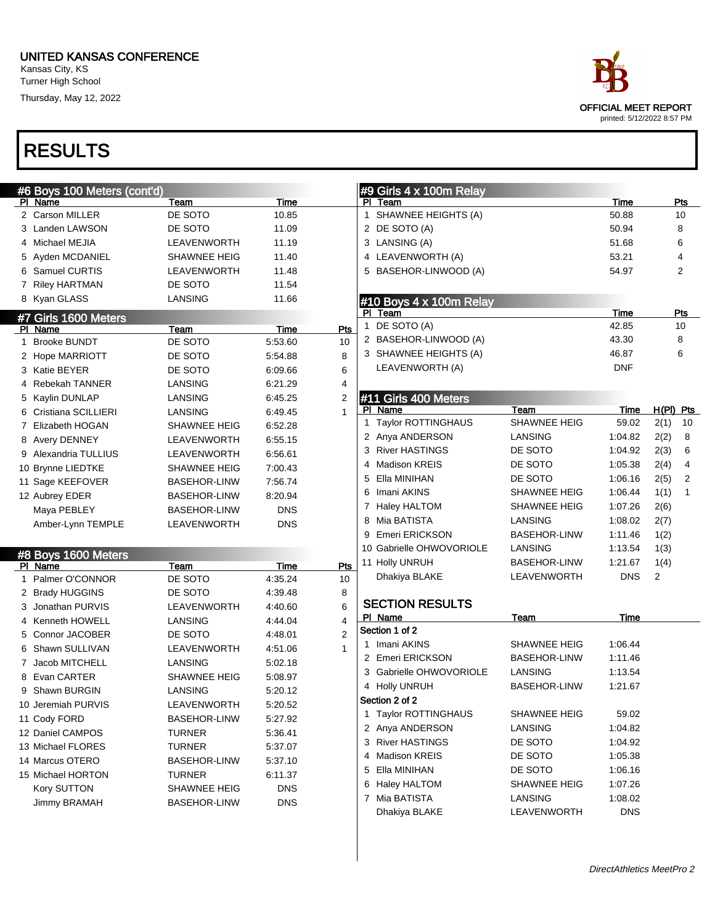Turner High School

Thursday, May 12, 2022

## RESULTS

|   | #6 Boys 100 Meters (cont'd) |                     |            |                |   | #9 Girls 4 x 100m Relay  |                     |            |             |              |
|---|-----------------------------|---------------------|------------|----------------|---|--------------------------|---------------------|------------|-------------|--------------|
|   | PI Name                     | Team                | Time       |                |   | PI Team                  |                     | Time       |             | Pts          |
|   | 2 Carson MILLER             | DE SOTO             | 10.85      |                |   | 1 SHAWNEE HEIGHTS (A)    |                     | 50.88      |             | 10           |
|   | 3 Landen LAWSON             | DE SOTO             | 11.09      |                |   | 2 DE SOTO (A)            |                     | 50.94      |             | 8            |
|   | 4 Michael MEJIA             | LEAVENWORTH         | 11.19      |                |   | 3 LANSING (A)            |                     | 51.68      |             | 6            |
|   | 5 Ayden MCDANIEL            | <b>SHAWNEE HEIG</b> | 11.40      |                |   | 4 LEAVENWORTH (A)        |                     | 53.21      |             | 4            |
|   | 6 Samuel CURTIS             | LEAVENWORTH         | 11.48      |                |   | 5 BASEHOR-LINWOOD (A)    |                     | 54.97      |             | 2            |
|   | 7 Riley HARTMAN             | DE SOTO             | 11.54      |                |   |                          |                     |            |             |              |
|   | 8 Kyan GLASS                | LANSING             | 11.66      |                |   | #10 Boys 4 x 100m Relay  |                     |            |             |              |
|   | #7 Girls 1600 Meters        |                     |            |                |   | PI Team                  |                     | Time       |             | Pts          |
|   | PI Name                     | Team                | Time       | Pts            |   | 1 DE SOTO (A)            |                     | 42.85      |             | 10           |
| 1 | <b>Brooke BUNDT</b>         | DE SOTO             | 5.53.60    | 10             |   | 2 BASEHOR-LINWOOD (A)    |                     | 43.30      |             | 8            |
|   | 2 Hope MARRIOTT             | DE SOTO             | 5:54.88    | 8              |   | 3 SHAWNEE HEIGHTS (A)    |                     | 46.87      |             | 6            |
|   | 3 Katie BEYER               | DE SOTO             | 6:09.66    | 6              |   | LEAVENWORTH (A)          |                     | DNF        |             |              |
|   | 4 Rebekah TANNER            | LANSING             | 6:21.29    | 4              |   |                          |                     |            |             |              |
|   | 5 Kaylin DUNLAP             | LANSING             | 6:45.25    | 2              |   | #11 Girls 400 Meters     |                     |            |             |              |
|   | 6 Cristiana SCILLIERI       | LANSING             | 6:49.45    | $\mathbf{1}$   |   | PI Name                  | Team                | Time       | $H(PI)$ Pts |              |
|   | 7 Elizabeth HOGAN           | <b>SHAWNEE HEIG</b> | 6:52.28    |                |   | 1 Taylor ROTTINGHAUS     | <b>SHAWNEE HEIG</b> | 59.02      | 2(1)        | 10           |
|   | 8 Avery DENNEY              | LEAVENWORTH         | 6:55.15    |                |   | 2 Anya ANDERSON          | LANSING             | 1:04.82    | 2(2)        | 8            |
|   | 9 Alexandria TULLIUS        | LEAVENWORTH         | 6:56.61    |                |   | 3 River HASTINGS         | DE SOTO             | 1:04.92    | 2(3)        | 6            |
|   | 10 Brynne LIEDTKE           | SHAWNEE HEIG        | 7:00.43    |                | 4 | <b>Madison KREIS</b>     | DE SOTO             | 1:05.38    | 2(4)        | 4            |
|   | 11 Sage KEEFOVER            | <b>BASEHOR-LINW</b> | 7:56.74    |                | 5 | Ella MINIHAN             | DE SOTO             | 1:06.16    | 2(5)        | 2            |
|   | 12 Aubrey EDER              | <b>BASEHOR-LINW</b> | 8:20.94    |                | 6 | Imani AKINS              | <b>SHAWNEE HEIG</b> | 1:06.44    | 1(1)        | $\mathbf{1}$ |
|   | Maya PEBLEY                 | <b>BASEHOR-LINW</b> | <b>DNS</b> |                | 7 | Haley HALTOM             | <b>SHAWNEE HEIG</b> | 1:07.26    | 2(6)        |              |
|   | Amber-Lynn TEMPLE           | LEAVENWORTH         | <b>DNS</b> |                |   | 8 Mia BATISTA            | LANSING             | 1:08.02    | 2(7)        |              |
|   |                             |                     |            |                |   | 9 Emeri ERICKSON         | <b>BASEHOR-LINW</b> | 1:11.46    | 1(2)        |              |
|   | #8 Boys 1600 Meters         |                     |            |                |   | 10 Gabrielle OHWOVORIOLE | LANSING             | 1:13.54    | 1(3)        |              |
|   | PI Name                     | Team                | Time       | Pts            |   | 11 Holly UNRUH           | <b>BASEHOR-LINW</b> | 1:21.67    | 1(4)        |              |
|   | 1 Palmer O'CONNOR           | DE SOTO             | 4:35.24    | 10             |   | Dhakiya BLAKE            | LEAVENWORTH         | <b>DNS</b> | 2           |              |
|   | 2 Brady HUGGINS             | DE SOTO             | 4:39.48    | 8              |   |                          |                     |            |             |              |
|   | 3 Jonathan PURVIS           | LEAVENWORTH         | 4:40.60    | 6              |   | <b>SECTION RESULTS</b>   |                     |            |             |              |
|   | 4 Kenneth HOWELL            | LANSING             | 4:44.04    | 4              |   | PI Name                  | Team                | Time       |             |              |
|   | 5 Connor JACOBER            | DE SOTO             | 4:48.01    | $\overline{2}$ |   | Section 1 of 2           |                     |            |             |              |
|   | 6 Shawn SULLIVAN            | LEAVENWORTH         | 4:51.06    | $\mathbf{1}$   |   | 1 Imani AKINS            | <b>SHAWNEE HEIG</b> | 1:06.44    |             |              |
|   | 7 Jacob MITCHELL            | LANSING             | 5:02.18    |                |   | 2 Emeri ERICKSON         | <b>BASEHOR-LINW</b> | 1:11.46    |             |              |
|   | 8 Evan CARTER               | <b>SHAWNEE HEIG</b> | 5:08.97    |                |   | 3 Gabrielle OHWOVORIOLE  | LANSING             | 1:13.54    |             |              |
|   | 9 Shawn BURGIN              | LANSING             | 5:20.12    |                |   | 4 Holly UNRUH            | <b>BASEHOR-LINW</b> | 1:21.67    |             |              |
|   | 10 Jeremiah PURVIS          | LEAVENWORTH         | 5:20.52    |                |   | Section 2 of 2           |                     |            |             |              |
|   | 11 Cody FORD                | <b>BASEHOR-LINW</b> | 5:27.92    |                |   | 1 Taylor ROTTINGHAUS     | <b>SHAWNEE HEIG</b> | 59.02      |             |              |
|   | 12 Daniel CAMPOS            | TURNER              | 5:36.41    |                |   | 2 Anya ANDERSON          | <b>LANSING</b>      | 1:04.82    |             |              |
|   | 13 Michael FLORES           | TURNER              | 5:37.07    |                |   | 3 River HASTINGS         | DE SOTO             | 1:04.92    |             |              |
|   | 14 Marcus OTERO             | <b>BASEHOR-LINW</b> | 5:37.10    |                |   | 4 Madison KREIS          | DE SOTO             | 1:05.38    |             |              |
|   | 15 Michael HORTON           | TURNER              | 6:11.37    |                |   | 5 Ella MINIHAN           | DE SOTO             | 1:06.16    |             |              |
|   | Kory SUTTON                 | SHAWNEE HEIG        | <b>DNS</b> |                |   | 6 Haley HALTOM           | <b>SHAWNEE HEIG</b> | 1:07.26    |             |              |
|   | Jimmy BRAMAH                | <b>BASEHOR-LINW</b> | <b>DNS</b> |                |   | 7 Mia BATISTA            | LANSING             | 1:08.02    |             |              |
|   |                             |                     |            |                |   | Dhakiya BLAKE            | LEAVENWORTH         | <b>DNS</b> |             |              |
|   |                             |                     |            |                |   |                          |                     |            |             |              |

DirectAthletics MeetPro 2

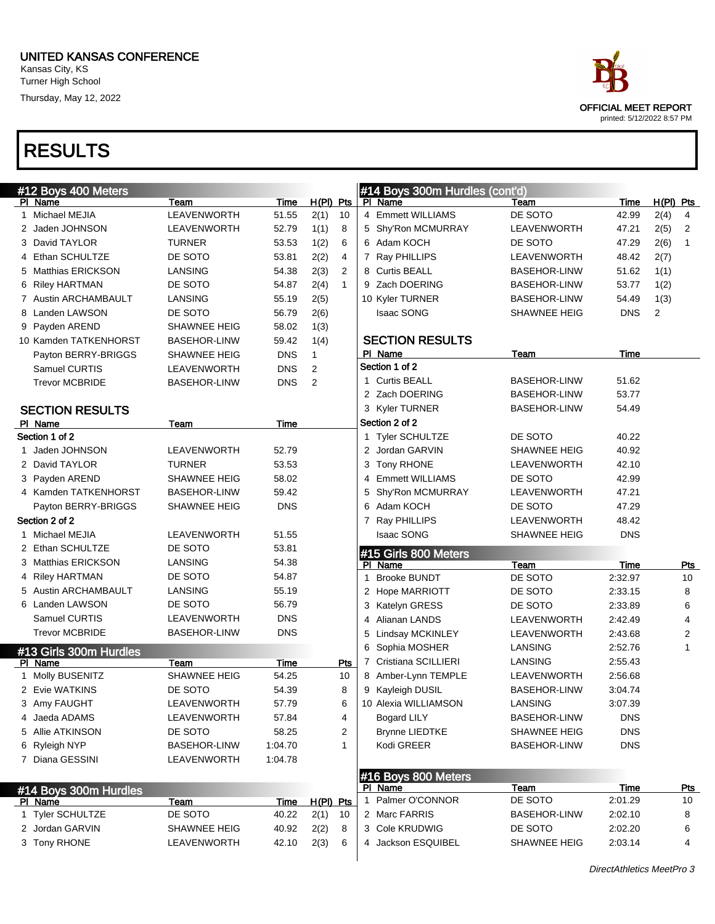| ace                                                       |
|-----------------------------------------------------------|
| <b>OFFICIAL MEET REPORT</b><br>printed: 5/12/2022 8:57 PM |

|   | #12 Boys 400 Meters    |                     |            |                        | #14 Boys 300m Hurdles (cont'd)      |                     |            |             |              |
|---|------------------------|---------------------|------------|------------------------|-------------------------------------|---------------------|------------|-------------|--------------|
|   | PI Name                | Team                | Time       | H(PI) Pts              | PI Name                             | Team                | Time       | $H(PI)$ Pts |              |
| 1 | Michael MEJIA          | <b>LEAVENWORTH</b>  | 51.55      | 2(1)<br>10             | 4 Emmett WILLIAMS                   | DE SOTO             | 42.99      | 2(4)        | 4            |
|   | 2 Jaden JOHNSON        | LEAVENWORTH         | 52.79      | 1(1)<br>8              | 5 Shy'Ron MCMURRAY                  | LEAVENWORTH         | 47.21      | 2(5)        | 2            |
|   | 3 David TAYLOR         | <b>TURNER</b>       | 53.53      | 1(2)<br>6              | 6 Adam KOCH                         | DE SOTO             | 47.29      | 2(6)        | $\mathbf{1}$ |
|   | 4 Ethan SCHULTZE       | DE SOTO             | 53.81      | 2(2)<br>4              | 7 Ray PHILLIPS                      | LEAVENWORTH         | 48.42      | 2(7)        |              |
|   | 5 Matthias ERICKSON    | LANSING             | 54.38      | 2(3)<br>2              | 8 Curtis BEALL                      | <b>BASEHOR-LINW</b> | 51.62      | 1(1)        |              |
|   | 6 Riley HARTMAN        | DE SOTO             | 54.87      | 2(4)<br>$\overline{1}$ | 9 Zach DOERING                      | <b>BASEHOR-LINW</b> | 53.77      | 1(2)        |              |
|   | 7 Austin ARCHAMBAULT   | <b>LANSING</b>      | 55.19      | 2(5)                   | 10 Kyler TURNER                     | <b>BASEHOR-LINW</b> | 54.49      | 1(3)        |              |
|   | 8 Landen LAWSON        | DE SOTO             | 56.79      | 2(6)                   | <b>Isaac SONG</b>                   | SHAWNEE HEIG        | <b>DNS</b> | 2           |              |
|   | 9 Payden AREND         | <b>SHAWNEE HEIG</b> | 58.02      | 1(3)                   |                                     |                     |            |             |              |
|   | 10 Kamden TATKENHORST  | <b>BASEHOR-LINW</b> | 59.42      | 1(4)                   | <b>SECTION RESULTS</b>              |                     |            |             |              |
|   | Payton BERRY-BRIGGS    | <b>SHAWNEE HEIG</b> | <b>DNS</b> | $\mathbf{1}$           | PI Name                             | Team                | Time       |             |              |
|   | Samuel CURTIS          | LEAVENWORTH         | <b>DNS</b> | 2                      | Section 1 of 2                      |                     |            |             |              |
|   | <b>Trevor MCBRIDE</b>  | <b>BASEHOR-LINW</b> | <b>DNS</b> | 2                      | 1 Curtis BEALL                      | <b>BASEHOR-LINW</b> | 51.62      |             |              |
|   |                        |                     |            |                        | 2 Zach DOERING                      | <b>BASEHOR-LINW</b> | 53.77      |             |              |
|   | <b>SECTION RESULTS</b> |                     |            |                        | 3 Kyler TURNER                      | <b>BASEHOR-LINW</b> | 54.49      |             |              |
|   | PI Name                | Team                | Time       |                        | Section 2 of 2                      |                     |            |             |              |
|   | Section 1 of 2         |                     |            |                        | 1 Tyler SCHULTZE                    | DE SOTO             | 40.22      |             |              |
|   | 1 Jaden JOHNSON        | LEAVENWORTH         | 52.79      |                        | 2 Jordan GARVIN                     | SHAWNEE HEIG        | 40.92      |             |              |
|   | 2 David TAYLOR         | <b>TURNER</b>       | 53.53      |                        | 3 Tony RHONE                        | LEAVENWORTH         | 42.10      |             |              |
|   | 3 Payden AREND         | <b>SHAWNEE HEIG</b> | 58.02      |                        | 4 Emmett WILLIAMS                   | DE SOTO             | 42.99      |             |              |
|   | 4 Kamden TATKENHORST   | <b>BASEHOR-LINW</b> | 59.42      |                        | Shy'Ron MCMURRAY<br>5               | <b>LEAVENWORTH</b>  | 47.21      |             |              |
|   | Payton BERRY-BRIGGS    | SHAWNEE HEIG        | <b>DNS</b> |                        | 6 Adam KOCH                         | DE SOTO             | 47.29      |             |              |
|   | Section 2 of 2         |                     |            |                        | 7 Ray PHILLIPS                      | LEAVENWORTH         | 48.42      |             |              |
|   | 1 Michael MEJIA        | LEAVENWORTH         | 51.55      |                        | <b>Isaac SONG</b>                   | <b>SHAWNEE HEIG</b> | <b>DNS</b> |             |              |
|   | 2 Ethan SCHULTZE       | DE SOTO             | 53.81      |                        | #15 Girls 800 Meters                |                     |            |             |              |
|   | 3 Matthias ERICKSON    | LANSING             | 54.38      |                        | PI Name                             | Team                | Time       |             | Pts          |
|   | 4 Riley HARTMAN        | DE SOTO             | 54.87      |                        | <b>Brooke BUNDT</b><br>$\mathbf{1}$ | DE SOTO             | 2:32.97    |             | 10           |
|   | 5 Austin ARCHAMBAULT   | LANSING             | 55.19      |                        | 2 Hope MARRIOTT                     | DE SOTO             | 2:33.15    |             | 8            |
|   | 6 Landen LAWSON        | DE SOTO             | 56.79      |                        | 3 Katelyn GRESS                     | DE SOTO             | 2:33.89    |             | 6            |
|   | Samuel CURTIS          | LEAVENWORTH         | <b>DNS</b> |                        | 4 Alianan LANDS                     | LEAVENWORTH         | 2:42.49    |             | 4            |
|   | <b>Trevor MCBRIDE</b>  | <b>BASEHOR-LINW</b> | <b>DNS</b> |                        | 5 Lindsay MCKINLEY                  | LEAVENWORTH         | 2:43.68    |             | 2            |
|   | #13 Girls 300m Hurdles |                     |            |                        | Sophia MOSHER<br>6                  | LANSING             | 2:52.76    |             | 1            |
|   | PI Name                | Team                | Time       | Pts                    | 7 Cristiana SCILLIERI               | LANSING             | 2:55.43    |             |              |
|   | 1 Molly BUSENITZ       | SHAWNEE HEIG        | 54.25      | 10                     | 8 Amber-Lynn TEMPLE                 | LEAVENWORTH         | 2:56.68    |             |              |
|   | 2 Evie WATKINS         | DE SOTO             | 54.39      | 8                      | 9 Kayleigh DUSIL                    | <b>BASEHOR-LINW</b> | 3:04.74    |             |              |
|   | 3 Amy FAUGHT           | LEAVENWORTH         | 57.79      | 6                      | 10 Alexia WILLIAMSON                | LANSING             | 3:07.39    |             |              |
|   | 4 Jaeda ADAMS          | LEAVENWORTH         | 57.84      | 4                      | Bogard LILY                         | <b>BASEHOR-LINW</b> | <b>DNS</b> |             |              |
|   | 5 Allie ATKINSON       | DE SOTO             | 58.25      | 2                      | <b>Brynne LIEDTKE</b>               | SHAWNEE HEIG        | <b>DNS</b> |             |              |
|   | 6 Ryleigh NYP          | <b>BASEHOR-LINW</b> | 1:04.70    | 1                      | Kodi GREER                          | <b>BASEHOR-LINW</b> | <b>DNS</b> |             |              |
|   | 7 Diana GESSINI        | LEAVENWORTH         | 1:04.78    |                        |                                     |                     |            |             |              |
|   |                        |                     |            |                        | #16 Boys 800 Meters                 |                     |            |             |              |
|   | #14 Boys 300m Hurdles  |                     |            |                        | PI Name                             | Team                | Time       |             | <u>Pts</u>   |
|   | PI Name                | Team                | Time       | $H(PI)$ Pts            | 1 Palmer O'CONNOR                   | DE SOTO             | 2:01.29    |             | 10           |
|   | 1 Tyler SCHULTZE       | DE SOTO             | 40.22      | 2(1)<br>10             | 2 Marc FARRIS                       | <b>BASEHOR-LINW</b> | 2:02.10    |             | 8            |
|   | 2 Jordan GARVIN        | SHAWNEE HEIG        | 40.92      | 2(2)<br>8              | 3 Cole KRUDWIG                      | DE SOTO             | 2:02.20    |             | 6            |
|   | 3 Tony RHONE           | LEAVENWORTH         | 42.10      | 2(3)<br>6              | 4 Jackson ESQUIBEL                  | SHAWNEE HEIG        | 2:03.14    |             | 4            |
|   |                        |                     |            |                        |                                     |                     |            |             |              |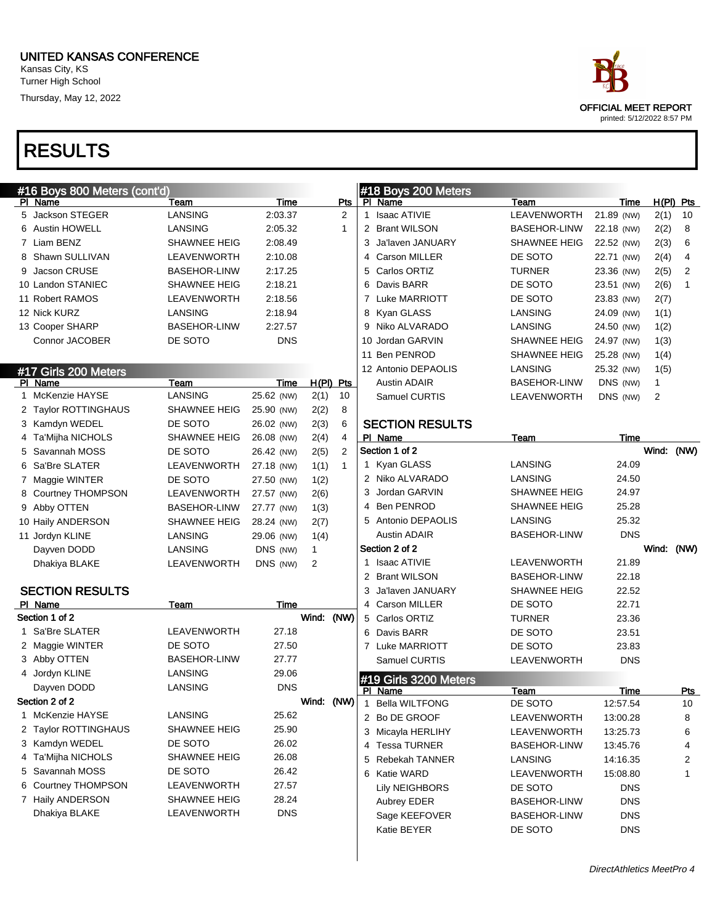#### UNITED KANSAS CONFERENCE Kansas City, KS

Turner High School Thursday, May 12, 2022

| ace                         |
|-----------------------------|
| <b>OFFICIAL MEET REPORT</b> |
| printed: 5/12/2022 8:57 PM  |

| #16 Boys 800 Meters (cont'd) |                        |                     |            |            |                | #18 Boys 200 Meters |                        |                     |            |                |             |
|------------------------------|------------------------|---------------------|------------|------------|----------------|---------------------|------------------------|---------------------|------------|----------------|-------------|
|                              | PI Name                | Team                | Time       |            | Pts            |                     | PI Name                | Team                | Time       |                | $H(PI)$ Pts |
|                              | 5 Jackson STEGER       | <b>LANSING</b>      | 2:03.37    |            | 2              | $\mathbf{1}$        | <b>Isaac ATIVIE</b>    | LEAVENWORTH         | 21.89 (NW) | 2(1)           | 10          |
|                              | 6 Austin HOWELL        | LANSING             | 2:05.32    |            | $\mathbf{1}$   |                     | 2 Brant WILSON         | <b>BASEHOR-LINW</b> | 22.18 (NW) | 2(2)           | 8           |
|                              | 7 Liam BENZ            | <b>SHAWNEE HEIG</b> | 2:08.49    |            |                | 3                   | Ja'laven JANUARY       | <b>SHAWNEE HEIG</b> | 22.52 (NW) | 2(3)           | 6           |
|                              | 8 Shawn SULLIVAN       | LEAVENWORTH         | 2:10.08    |            |                | 4                   | <b>Carson MILLER</b>   | DE SOTO             | 22.71 (NW) | 2(4)           | 4           |
|                              | 9 Jacson CRUSE         | <b>BASEHOR-LINW</b> | 2:17.25    |            |                | 5                   | Carlos ORTIZ           | <b>TURNER</b>       | 23.36 (NW) | 2(5)           | 2           |
|                              | 10 Landon STANIEC      | <b>SHAWNEE HEIG</b> | 2:18.21    |            |                | 6                   | Davis BARR             | DE SOTO             | 23.51 (NW) | 2(6)           | 1           |
|                              | 11 Robert RAMOS        | LEAVENWORTH         | 2:18.56    |            |                |                     | 7 Luke MARRIOTT        | DE SOTO             | 23.83 (NW) | 2(7)           |             |
|                              | 12 Nick KURZ           | LANSING             | 2:18.94    |            |                | 8                   | Kyan GLASS             | LANSING             | 24.09 (NW) | 1(1)           |             |
|                              | 13 Cooper SHARP        | <b>BASEHOR-LINW</b> | 2:27.57    |            |                | 9                   | Niko ALVARADO          | LANSING             | 24.50 (NW) | 1(2)           |             |
|                              | Connor JACOBER         | DE SOTO             | <b>DNS</b> |            |                |                     | 10 Jordan GARVIN       | <b>SHAWNEE HEIG</b> | 24.97 (NW) | 1(3)           |             |
|                              |                        |                     |            |            |                |                     | 11 Ben PENROD          | <b>SHAWNEE HEIG</b> | 25.28 (NW) | 1(4)           |             |
|                              | #17 Girls 200 Meters   |                     |            |            |                |                     | 12 Antonio DEPAOLIS    | LANSING             | 25.32 (NW) | 1(5)           |             |
|                              | PI Name                | Team                | Time       |            | $H(PI)$ Pts    |                     | <b>Austin ADAIR</b>    | <b>BASEHOR-LINW</b> | DNS (NW)   | 1              |             |
|                              | 1 McKenzie HAYSE       | <b>LANSING</b>      | 25.62 (NW) | 2(1)       | 10             |                     | Samuel CURTIS          | LEAVENWORTH         | DNS (NW)   | $\overline{2}$ |             |
|                              | 2 Taylor ROTTINGHAUS   | SHAWNEE HEIG        | 25.90 (NW) | 2(2)       | 8              |                     |                        |                     |            |                |             |
|                              | 3 Kamdyn WEDEL         | DE SOTO             | 26.02 (NW) | 2(3)       | 6              |                     | <b>SECTION RESULTS</b> |                     |            |                |             |
|                              | 4 Ta'Mijha NICHOLS     | <b>SHAWNEE HEIG</b> | 26.08 (NW) | 2(4)       | $\overline{4}$ |                     | PI Name                | Team                | Time       |                |             |
|                              | 5 Savannah MOSS        | DE SOTO             | 26.42 (NW) | 2(5)       | $\overline{2}$ |                     | Section 1 of 2         |                     |            | Wind:          | (NW)        |
|                              | 6 Sa'Bre SLATER        | LEAVENWORTH         | 27.18 (NW) | 1(1)       | $\mathbf{1}$   |                     | 1 Kyan GLASS           | <b>LANSING</b>      | 24.09      |                |             |
|                              | 7 Maggie WINTER        | DE SOTO             | 27.50 (NW) | 1(2)       |                |                     | 2 Niko ALVARADO        | <b>LANSING</b>      | 24.50      |                |             |
|                              | 8 Courtney THOMPSON    | LEAVENWORTH         | 27.57 (NW) | 2(6)       |                |                     | 3 Jordan GARVIN        | <b>SHAWNEE HEIG</b> | 24.97      |                |             |
|                              | 9 Abby OTTEN           | <b>BASEHOR-LINW</b> | 27.77 (NW) | 1(3)       |                |                     | 4 Ben PENROD           | <b>SHAWNEE HEIG</b> | 25.28      |                |             |
|                              | 10 Haily ANDERSON      | SHAWNEE HEIG        | 28.24 (NW) | 2(7)       |                |                     | 5 Antonio DEPAOLIS     | LANSING             | 25.32      |                |             |
|                              | 11 Jordyn KLINE        | LANSING             | 29.06 (NW) | 1(4)       |                |                     | Austin ADAIR           | <b>BASEHOR-LINW</b> | <b>DNS</b> |                |             |
|                              | Dayven DODD            | LANSING             | DNS (NW)   | 1          |                |                     | Section 2 of 2         |                     |            | Wind:          | (NW)        |
|                              | Dhakiya BLAKE          | LEAVENWORTH         | DNS (NW)   | 2          |                |                     | Isaac ATIVIE           | LEAVENWORTH         | 21.89      |                |             |
|                              |                        |                     |            |            |                |                     | 2 Brant WILSON         | <b>BASEHOR-LINW</b> | 22.18      |                |             |
|                              | <b>SECTION RESULTS</b> |                     |            |            |                | 3                   | Ja'laven JANUARY       | <b>SHAWNEE HEIG</b> | 22.52      |                |             |
|                              | PI Name                | Team                | Time       |            |                |                     | 4 Carson MILLER        | DE SOTO             | 22.71      |                |             |
|                              | Section 1 of 2         |                     |            | Wind: (NW) |                |                     | 5 Carlos ORTIZ         | <b>TURNER</b>       | 23.36      |                |             |
|                              | 1 Sa'Bre SLATER        | LEAVENWORTH         | 27.18      |            |                |                     | 6 Davis BARR           | DE SOTO             | 23.51      |                |             |
|                              | 2 Maggie WINTER        | DE SOTO             | 27.50      |            |                |                     | 7 Luke MARRIOTT        | DE SOTO             | 23.83      |                |             |
|                              | 3 Abby OTTEN           | <b>BASEHOR-LINW</b> | 27.77      |            |                |                     | Samuel CURTIS          | LEAVENWORTH         | <b>DNS</b> |                |             |
|                              | 4 Jordyn KLINE         | LANSING             | 29.06      |            |                |                     | #19 Girls 3200 Meters  |                     |            |                |             |
|                              | Dayven DODD            | LANSING             | <b>DNS</b> |            |                |                     | PI Name                | Team                | Time       |                | Pts         |
|                              | Section 2 of 2         |                     |            | Wind:      | (NW)           | 1                   | <b>Bella WILTFONG</b>  | DE SOTO             | 12:57.54   |                | 10          |
|                              | 1 McKenzie HAYSE       | LANSING             | 25.62      |            |                |                     | 2 Bo DE GROOF          | LEAVENWORTH         | 13:00.28   |                | 8           |
|                              | 2 Taylor ROTTINGHAUS   | SHAWNEE HEIG        | 25.90      |            |                |                     | 3 Micayla HERLIHY      | LEAVENWORTH         | 13:25.73   |                | 6           |
|                              | 3 Kamdyn WEDEL         | DE SOTO             | 26.02      |            |                |                     | 4 Tessa TURNER         | <b>BASEHOR-LINW</b> | 13:45.76   |                | 4           |
|                              | 4 Ta'Mijha NICHOLS     | <b>SHAWNEE HEIG</b> | 26.08      |            |                |                     | 5 Rebekah TANNER       | LANSING             | 14:16.35   |                | 2           |
|                              | 5 Savannah MOSS        | DE SOTO             | 26.42      |            |                |                     | 6 Katie WARD           | LEAVENWORTH         | 15:08.80   |                | 1           |
|                              | 6 Courtney THOMPSON    | LEAVENWORTH         | 27.57      |            |                |                     | <b>Lily NEIGHBORS</b>  | DE SOTO             | <b>DNS</b> |                |             |
|                              | 7 Haily ANDERSON       | SHAWNEE HEIG        | 28.24      |            |                |                     | <b>Aubrey EDER</b>     | <b>BASEHOR-LINW</b> | <b>DNS</b> |                |             |
|                              | Dhakiya BLAKE          | LEAVENWORTH         | <b>DNS</b> |            |                |                     | Sage KEEFOVER          | <b>BASEHOR-LINW</b> | <b>DNS</b> |                |             |
|                              |                        |                     |            |            |                |                     | Katie BEYER            | DE SOTO             | <b>DNS</b> |                |             |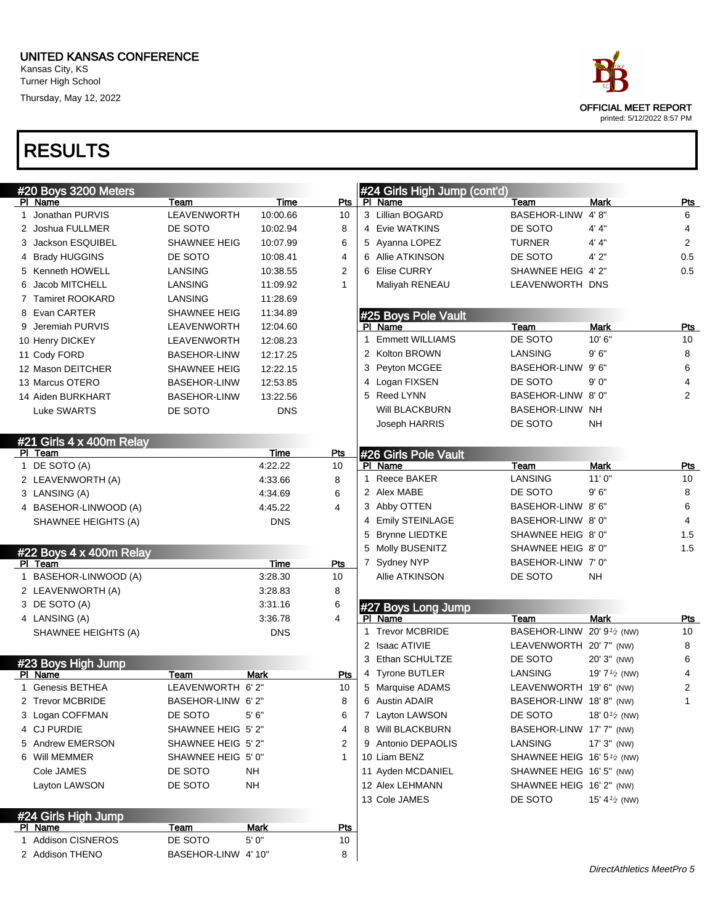# OFFICIAL MEET REPORT printed: 5/12/2022 8:57 PM

| #20 Boys 3200 Meters            |                     |            |            |   | #24 Girls High Jump (cont'd) |                                      |                          |                |
|---------------------------------|---------------------|------------|------------|---|------------------------------|--------------------------------------|--------------------------|----------------|
| PI Name                         | Team                | Time       | Pts        |   | PI Name                      | Team                                 | Mark                     | <u>Pts</u>     |
| 1 Jonathan PURVIS               | LEAVENWORTH         | 10:00.66   | 10         |   | 3 Lillian BOGARD             | <b>BASEHOR-LINW</b>                  | 4' 8''                   | 6              |
| 2 Joshua FULLMER                | DE SOTO             | 10:02.94   | 8          |   | 4 Evie WATKINS               | DE SOTO                              | 4' 4"                    | 4              |
| 3 Jackson ESQUIBEL              | SHAWNEE HEIG        | 10:07.99   | 6          |   | 5 Ayanna LOPEZ               | TURNER                               | 4' 4"                    | $\overline{2}$ |
| 4 Brady HUGGINS                 | DE SOTO             | 10:08.41   | 4          |   | 6 Allie ATKINSON             | DE SOTO                              | 4' 2"                    | 0.5            |
| 5 Kenneth HOWELL                | LANSING             | 10:38.55   | 2          |   | 6 Elise CURRY                | SHAWNEE HEIG 4' 2"                   |                          | 0.5            |
| Jacob MITCHELL                  | LANSING             | 11:09.92   | 1          |   | Maliyah RENEAU               | LEAVENWORTH DNS                      |                          |                |
| 7 Tamiret ROOKARD               | LANSING             | 11:28.69   |            |   |                              |                                      |                          |                |
| 8 Evan CARTER                   | <b>SHAWNEE HEIG</b> | 11:34.89   |            |   | #25 Boys Pole Vault          |                                      |                          |                |
| 9 Jeremiah PURVIS               | LEAVENWORTH         | 12:04.60   |            |   | PI Name                      | Team                                 | <b>Mark</b>              | Pts            |
| 10 Henry DICKEY                 | LEAVENWORTH         | 12:08.23   |            | 1 | <b>Emmett WILLIAMS</b>       | DE SOTO                              | 10'6"                    | 10             |
| 11 Cody FORD                    | <b>BASEHOR-LINW</b> | 12:17.25   |            |   | 2 Kolton BROWN               | LANSING                              | 9'6''                    | 8              |
| 12 Mason DEITCHER               | SHAWNEE HEIG        | 12:22.15   |            |   | 3 Peyton MCGEE               | <b>BASEHOR-LINW</b>                  | 9'6"                     | 6              |
| 13 Marcus OTERO                 | <b>BASEHOR-LINW</b> | 12:53.85   |            |   | 4 Logan FIXSEN               | DE SOTO                              | 9'0''                    | 4              |
| 14 Aiden BURKHART               | <b>BASEHOR-LINW</b> | 13:22.56   |            | 5 | Reed LYNN                    | BASEHOR-LINW 8'0"                    |                          | 2              |
| Luke SWARTS                     | DE SOTO             | <b>DNS</b> |            |   | Will BLACKBURN               | <b>BASEHOR-LINW NH</b>               |                          |                |
|                                 |                     |            |            |   | Joseph HARRIS                | DE SOTO                              | NΗ                       |                |
| #21 Girls 4 x 400m Relay        |                     |            |            |   |                              |                                      |                          |                |
| PI Team                         |                     | Time       | <b>Pts</b> |   | #26 Girls Pole Vault         |                                      |                          |                |
| 1 DE SOTO (A)                   |                     | 4:22.22    | 10         |   | PI Name                      | Team                                 | <b>Mark</b>              | <u>Pts</u>     |
| 2 LEAVENWORTH (A)               |                     | 4:33.66    | 8          | 1 | Reece BAKER                  | <b>LANSING</b>                       | 11'0"                    | 10             |
| 3 LANSING (A)                   |                     | 4:34.69    | 6          |   | 2 Alex MABE                  | DE SOTO                              | 9'6''                    | 8              |
| 4 BASEHOR-LINWOOD (A)           |                     | 4:45.22    | 4          |   | 3 Abby OTTEN                 | BASEHOR-LINW 8'6"                    |                          | 6              |
| SHAWNEE HEIGHTS (A)             |                     | <b>DNS</b> |            | 4 | <b>Emily STEINLAGE</b>       | BASEHOR-LINW 8'0"                    |                          | 4              |
|                                 |                     |            |            | 5 | <b>Brynne LIEDTKE</b>        | SHAWNEE HEIG 8' 0"                   |                          | 1.5            |
| #22 Boys $4 \times 400$ m Relay |                     |            |            | 5 | Molly BUSENITZ               | SHAWNEE HEIG 8' 0"                   |                          | 1.5            |
| PI Team                         |                     | Time       | Pts        |   | 7 Sydney NYP                 | BASEHOR-LINW 7' 0"                   |                          |                |
| 1 BASEHOR-LINWOOD (A)           |                     | 3:28.30    | 10         |   | <b>Allie ATKINSON</b>        | DE SOTO                              | <b>NH</b>                |                |
| 2 LEAVENWORTH (A)               |                     | 3:28.83    | 8          |   |                              |                                      |                          |                |
| 3 DE SOTO (A)                   |                     | 3:31.16    | 6          |   | #27 Boys Long Jump           |                                      |                          |                |
| 4 LANSING (A)                   |                     | 3:36.78    | 4          |   | PI Name                      | Team                                 | <b>Mark</b>              | <b>Pts</b>     |
| SHAWNEE HEIGHTS (A)             |                     | <b>DNS</b> |            | 1 | <b>Trevor MCBRIDE</b>        | BASEHOR-LINW 20' 91/2 (NW)           |                          | 10             |
|                                 |                     |            |            |   | 2 Isaac ATIVIE               | LEAVENWORTH 20' 7" (NW)              |                          | 8              |
| #23 Boys High Jump              |                     |            |            |   | 3 Ethan SCHULTZE             | DE SOTO                              | 20' 3" (NW)              | 6              |
| PI Name                         | Team                | Mark       | Pts        |   | 4 Tyrone BUTLER              | LANSING                              | 19' $7\frac{1}{2}$ (NW)  | 4              |
| 1 Genesis BETHEA                | LEAVENWORTH 6'2"    |            | 10         |   | 5 Marquise ADAMS             | LEAVENWORTH 19'6" (NW)               |                          | 2              |
| 2 Trevor MCBRIDE                | BASEHOR-LINW 6'2"   |            | 8          |   | 6 Austin ADAIR               | BASEHOR-LINW 18'8" (NW)              |                          | 1              |
| 3 Logan COFFMAN                 | DE SOTO             | 5'6''      | 6          |   | 7 Layton LAWSON              | DE SOTO                              | 18' 0 $\frac{1}{2}$ (NW) |                |
| 4 CJ PURDIE                     | SHAWNEE HEIG 5' 2"  |            | 4          |   | 8 Will BLACKBURN             | BASEHOR-LINW 17' 7" (NW)             |                          |                |
| 5 Andrew EMERSON                | SHAWNEE HEIG 5' 2"  |            | 2          |   | 9 Antonio DEPAOLIS           | LANSING                              | 17' 3" (NW)              |                |
| 6 Will MEMMER                   | SHAWNEE HEIG 5' 0"  |            |            |   | 10 Liam BENZ                 | SHAWNEE HEIG 16' $5\frac{1}{2}$ (NW) |                          |                |
| Cole JAMES                      | DE SOTO             | ΝH         |            |   | 11 Ayden MCDANIEL            | SHAWNEE HEIG 16' 5" (NW)             |                          |                |
| Layton LAWSON                   | DE SOTO             | <b>NH</b>  |            |   | 12 Alex LEHMANN              | SHAWNEE HEIG 16' 2" (NW)             |                          |                |
|                                 |                     |            |            |   | 13 Cole JAMES                | DE SOTO                              | 15' 4 $\frac{1}{2}$ (NW) |                |
| #24 Girls High Jump             |                     |            |            |   |                              |                                      |                          |                |
| PI Name                         | Team                | Mark       | <u>Pts</u> |   |                              |                                      |                          |                |
| 1 Addison CISNEROS              | DE SOTO             | 5' 0"      | 10         |   |                              |                                      |                          |                |
| 2 Addison THENO                 | BASEHOR-LINW 4' 10" |            | 8          |   |                              |                                      |                          |                |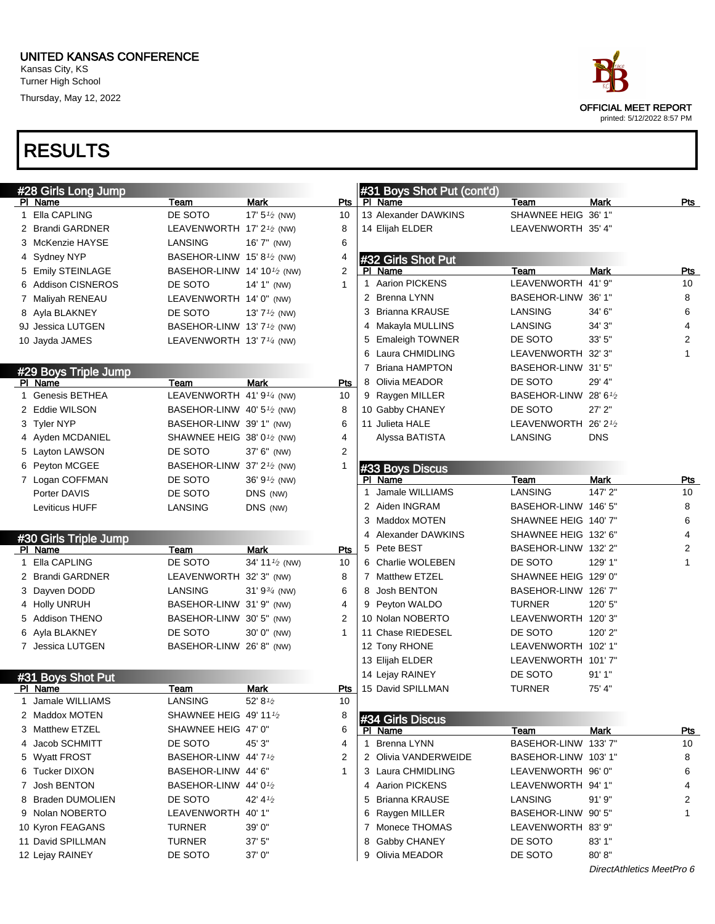

| #28 Girls Long Jump              |                                                      |                           |                | #31 Boys Shot Put (cont'd)           |                               |                           |            |
|----------------------------------|------------------------------------------------------|---------------------------|----------------|--------------------------------------|-------------------------------|---------------------------|------------|
| PI Name                          | Team                                                 | Mark                      | Pts            | PI Name                              | Team                          | <b>Mark</b>               | Pts        |
| 1 Ella CAPLING                   | DE SOTO                                              | 17' $5\frac{1}{2}$ (NW)   | 10             | 13 Alexander DAWKINS                 | SHAWNEE HEIG 36' 1"           |                           |            |
| 2 Brandi GARDNER                 | LEAVENWORTH 17' 2 <sup>1</sup> / <sub>2</sub> (NW)   |                           | 8              | 14 Elijah ELDER                      | LEAVENWORTH 35' 4"            |                           |            |
| 3 McKenzie HAYSE                 | LANSING                                              | 16' 7" (NW)               | 6              |                                      |                               |                           |            |
| 4 Sydney NYP                     | BASEHOR-LINW 15'8 <sup>1</sup> /2 (NW)               |                           | 4              | #32 Girls Shot Put                   |                               |                           |            |
| 5 Emily STEINLAGE                | BASEHOR-LINW 14' 10 <sup>1</sup> / <sub>2</sub> (NW) |                           | 2              | PI Name                              | Team                          | <b>Mark</b>               | <b>Pts</b> |
| <b>Addison CISNEROS</b><br>6     | DE SOTO                                              | 14' 1" (NW)               | $\mathbf{1}$   | 1 Aarion PICKENS                     | LEAVENWORTH 41' 9"            |                           | 10         |
| 7 Maliyah RENEAU                 | LEAVENWORTH 14' 0" (NW)                              |                           |                | 2 Brenna LYNN                        | BASEHOR-LINW 36' 1"           |                           | 8          |
| 8 Ayla BLAKNEY                   | DE SOTO                                              | 13' $7\frac{1}{2}$ (NW)   |                | 3 Brianna KRAUSE                     | <b>LANSING</b>                | 34' 6"                    | 6          |
| 9J Jessica LUTGEN                | BASEHOR-LINW 13' 7 <sup>1</sup> /2 (NW)              |                           |                | 4 Makayla MULLINS                    | LANSING                       | 34' 3"                    | 4          |
| 10 Jayda JAMES                   | LEAVENWORTH 13' 7 <sup>1/4</sup> (NW)                |                           |                | 5 Emaleigh TOWNER                    | DE SOTO                       | 33'5''                    | 2          |
|                                  |                                                      |                           |                | 6 Laura CHMIDLING                    | LEAVENWORTH 32'3"             |                           | 1          |
| #29 Boys Triple Jump             |                                                      |                           |                | 7 Briana HAMPTON                     | BASEHOR-LINW 31'5"            |                           |            |
| PI Name                          | Team                                                 | <b>Mark</b>               | Pts            | 8 Olivia MEADOR                      | DE SOTO                       | 29' 4"                    |            |
| 1 Genesis BETHEA                 | LEAVENWORTH 41'9 <sup>1/4</sup> (NW)                 |                           | 10             | 9 Raygen MILLER                      | BASEHOR-LINW 28' 61/2         |                           |            |
| 2 Eddie WILSON                   | BASEHOR-LINW 40' $5\frac{1}{2}$ (NW)                 |                           | 8              | 10 Gabby CHANEY                      | DE SOTO                       | $27'$ $2"$                |            |
| 3 Tyler NYP                      | BASEHOR-LINW 39' 1" (NW)                             |                           | 6              | 11 Julieta HALE                      | LEAVENWORTH 26' 21/2          |                           |            |
| 4 Ayden MCDANIEL                 | SHAWNEE HEIG 38' 0 <sup>1</sup> /2 (NW)              |                           | 4              | Alyssa BATISTA                       | LANSING                       | <b>DNS</b>                |            |
| 5 Layton LAWSON                  | DE SOTO                                              | 37' 6" (NW)               | 2              |                                      |                               |                           |            |
| 6 Peyton MCGEE                   | BASEHOR-LINW 37' 2 <sup>1/2</sup> (NW)               |                           | -1             | #33 Boys Discus                      |                               |                           |            |
| 7 Logan COFFMAN                  | DE SOTO                                              | 36' $9\frac{1}{2}$ (NW)   |                | PI Name                              | Team                          | Mark                      | Pts        |
| Porter DAVIS                     | DE SOTO                                              | DNS (NW)                  |                | 1 Jamale WILLIAMS                    | LANSING                       | 147' 2"                   | 10         |
| Leviticus HUFF                   | <b>LANSING</b>                                       | DNS (NW)                  |                | 2 Aiden INGRAM                       | BASEHOR-LINW 146' 5"          |                           | 8          |
|                                  |                                                      |                           |                | 3 Maddox MOTEN                       | SHAWNEE HEIG 140' 7"          |                           | 6          |
|                                  |                                                      |                           |                | 4 Alexander DAWKINS                  | SHAWNEE HEIG 132' 6"          |                           | 4          |
| #30 Girls Triple Jump<br>PI Name | Team                                                 | <b>Mark</b>               | Pts            | 5 Pete BEST                          | BASEHOR-LINW 132' 2"          |                           | 2          |
| 1 Ella CAPLING                   | DE SOTO                                              | 34' 11 $\frac{1}{2}$ (NW) | 10             | 6 Charlie WOLEBEN                    | DE SOTO                       | 129' 1"                   | 1          |
| 2 Brandi GARDNER                 | LEAVENWORTH 32' 3" (NW)                              |                           | 8              | 7 Matthew ETZEL                      | SHAWNEE HEIG 129' 0"          |                           |            |
| 3 Dayven DODD                    | LANSING                                              | 31' $9\frac{3}{4}$ (NW)   | 6              | 8 Josh BENTON                        | BASEHOR-LINW 126' 7"          |                           |            |
| 4 Holly UNRUH                    | BASEHOR-LINW 31'9" (NW)                              |                           | 4              | 9 Peyton WALDO                       | <b>TURNER</b>                 | 120' 5"                   |            |
| 5 Addison THENO                  | BASEHOR-LINW 30'5" (NW)                              |                           | 2              | 10 Nolan NOBERTO                     | LEAVENWORTH 120'3"            |                           |            |
| 6 Ayla BLAKNEY                   | DE SOTO                                              | 30' 0" (NW)               | $\mathbf{1}$   | 11 Chase RIEDESEL                    | DE SOTO                       | 120' 2"                   |            |
| 7 Jessica LUTGEN                 | BASEHOR-LINW 26' 8" (NW)                             |                           |                | 12 Tony RHONE                        | LEAVENWORTH 102' 1"           |                           |            |
|                                  |                                                      |                           |                | 13 Elijah ELDER                      | LEAVENWORTH 101'7"            |                           |            |
|                                  |                                                      |                           |                | 14 Lejay RAINEY                      | DE SOTO                       | 91'1''                    |            |
| #31 Boys Shot Put<br>PI Name     | Team                                                 | <b>Mark</b>               | Pts            | 15 David SPILLMAN                    | <b>TURNER</b>                 | 75' 4"                    |            |
| 1 Jamale WILLIAMS                | LANSING                                              | 52' 81/2                  | 10             |                                      |                               |                           |            |
| 2 Maddox MOTEN                   | SHAWNEE HEIG 49' 11 1/2                              |                           | 8              |                                      |                               |                           |            |
| <b>Matthew ETZEL</b><br>3.       | SHAWNEE HEIG 47' 0"                                  |                           | 6              | #34 Girls Discus<br>PI Name          | Team                          | Mark                      | <b>Pts</b> |
| Jacob SCHMITT<br>4               | DE SOTO                                              | 45' 3"                    | 4              | 1 Brenna LYNN                        | BASEHOR-LINW 133' 7"          |                           | 10         |
| <b>Wyatt FROST</b>               | BASEHOR-LINW 44' 71/2                                |                           | $\overline{2}$ | 2 Olivia VANDERWEIDE                 | BASEHOR-LINW 103'1"           |                           | 8          |
| Tucker DIXON                     | BASEHOR-LINW 44' 6"                                  |                           | 1              | 3 Laura CHMIDLING                    | LEAVENWORTH 96'0"             |                           | 6          |
| 6                                |                                                      |                           |                |                                      |                               |                           |            |
| Josh BENTON<br>7                 | BASEHOR-LINW 44'0 <sup>1</sup> /2<br>DE SOTO         |                           |                | 4 Aarion PICKENS<br>5 Brianna KRAUSE | LEAVENWORTH 94' 1"<br>LANSING | 91'9''                    | 4          |
| <b>Braden DUMOLIEN</b><br>8      |                                                      | 42' 4 $\frac{1}{2}$       |                |                                      | BASEHOR-LINW 90' 5"           |                           | 2<br>1     |
| 9 Nolan NOBERTO                  | LEAVENWORTH 40' 1"                                   |                           |                | 6 Raygen MILLER                      |                               |                           |            |
| 10 Kyron FEAGANS                 | <b>TURNER</b>                                        | 39' 0"                    |                | 7 Monece THOMAS                      | LEAVENWORTH 83' 9"            |                           |            |
| 11 David SPILLMAN                | <b>TURNER</b>                                        | 37' 5"                    |                | 8 Gabby CHANEY                       | DE SOTO                       | 83' 1"                    |            |
| 12 Lejay RAINEY                  | DE SOTO                                              | 37' 0"                    |                | 9 Olivia MEADOR                      | DE SOTO                       | 80' 8"                    |            |
|                                  |                                                      |                           |                |                                      |                               | DirectAthletics MeetPro 6 |            |